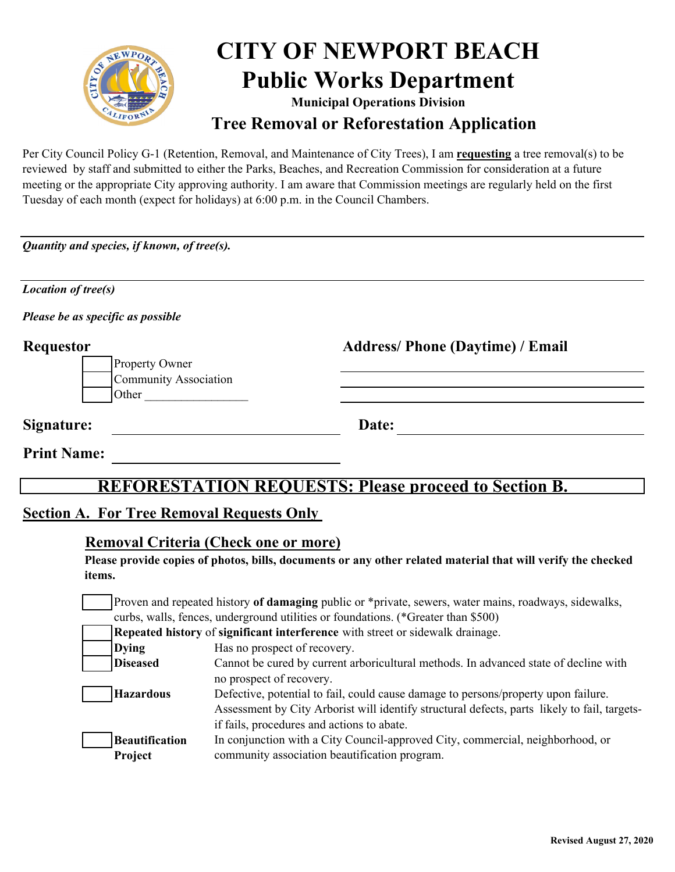

# **CITY OF NEWPORT BEACH Public Works Department**

**Tree Removal or Reforestation Application Municipal Operations Division**

Per City Council Policy G-1 (Retention, Removal, and Maintenance of City Trees), I am **requesting** a tree removal(s) to be reviewed by staff and submitted to either the Parks, Beaches, and Recreation Commission for consideration at a future meeting or the appropriate City approving authority. I am aware that Commission meetings are regularly held on the first Tuesday of each month (expect for holidays) at 6:00 p.m. in the Council Chambers.

*Quantity and species, if known, of tree(s).*

| <b>Location of tree(s)</b>                       |                                                         |
|--------------------------------------------------|---------------------------------------------------------|
| Please be as specific as possible                |                                                         |
| <b>Requestor</b><br>Property Owner               | <b>Address/Phone (Daytime) / Email</b>                  |
| <b>Community Association</b><br>Other            |                                                         |
| Signature:                                       | Date:                                                   |
| <b>Print Name:</b>                               |                                                         |
| REFO                                             | <b>RESTATION REQUESTS: Please proceed to Section B.</b> |
| <b>Section A. For Tree Removal Requests Only</b> |                                                         |

# **Removal Criteria (Check one or more)**

**Please provide copies of photos, bills, documents or any other related material that will verify the checked items.** 

Proven and repeated history **of damaging** public or \*private, sewers, water mains, roadways, sidewalks, curbs, walls, fences, underground utilities or foundations. (\*Greater than \$500)

**Repeated history** of **significant interference** with street or sidewalk drainage.

| <b>Dying</b>          | Has no prospect of recovery.                                                                 |
|-----------------------|----------------------------------------------------------------------------------------------|
| <b>Diseased</b>       | Cannot be cured by current arboricultural methods. In advanced state of decline with         |
|                       | no prospect of recovery.                                                                     |
| <b>Hazardous</b>      | Defective, potential to fail, could cause damage to persons/property upon failure.           |
|                       | Assessment by City Arborist will identify structural defects, parts likely to fail, targets- |
|                       | if fails, procedures and actions to abate.                                                   |
| <b>Beautification</b> | In conjunction with a City Council-approved City, commercial, neighborhood, or               |
| Project               | community association beautification program.                                                |
|                       |                                                                                              |